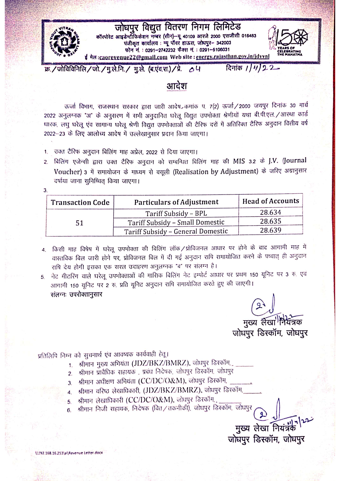

दिनांक  $11422$ क्र./जोविविनिलि/जो./मु.ले.नि./ मु.ले. (ब.एंव.रा.)/प्रे.  $\Delta U$ 

## आदेश

ऊर्जा विभाग, राजस्थान सरकार द्वारा जारी आदेष, कमांक प. 7(2) ऊर्जा/2000 जयपुर दिनांक 30 मार्च 2022 अनुलग्नक "अ" के अनुसरण में सभी अनुदानित घरेलू विद्युत उपमोक्ता श्रेणीयों यथा बी.पी.एल./आरथा कार्ड धारक, लघु घरेलू एंव सामान्य घरेलू श्रेणी विद्युत उपमोक्ताओं की टैरिफ दरों में अतिरिक्त टैरिफ अनुदान वित्तीय वर्ष 2022-23 के लिए आलोच्य आदेष में उल्लेखानुसार प्रदान किया जाएगा।

- 1. उक्त टैरिफ अनुदान बिलिंग माह अप्रेल, 2022 से दिया जाएगा।
- बिलिंग एजेन्सी द्वारा उक्त टैरिफ अनुदान को सम्बन्धित बिलिंग माह की MIS 3.2 के J.V. (Journal Voucher) 3 में समायोजन के माध्यम से वसूली (Realisation by Adjustment) के जरिए अग्रानुसार दर्षाया जाना सनिष्चित किया जाएगा।

| <b>Transaction Code</b> | <b>Particulars of Adjustment</b>  | <b>Head of Accounts</b> |  |
|-------------------------|-----------------------------------|-------------------------|--|
| 51                      | Tariff Subsidy – BPL              | 28.634                  |  |
|                         | Tariff Subsidy - Small Domestic   | 28.635                  |  |
|                         | Tariff Subsidy - General Domestic | 28.639                  |  |

- 4. किसी माह विषेष में घरेलू उपभोक्ता की विलिंग लॉक/प्रोविजनल आधार पर होने के बाद आगामी माह में वास्तविक विल जारी होने पर, प्रोविजनल विल में दी गई अनुदान राधि समायोजित करने के पष्चात् ही अनुदान रापि देय होगी इसका एक सरल उदाहरण अनुलग्नक "ब" पर संलग्न है।
- नेट मीटरिंग वाले घरेलू उपभोक्ताओं की मासिक विलिंग नेट इम्पोर्ट आधार पर प्रथम 150 यूनिट पर 3 रु. एवं 5. आगामी 150 यूनिट पर 2 रु. प्रति यूनिट अनुदान राषि समायोजित करते हुए की जाएगी। संलग्नः उपरोक्तानुसार

मुख्य लेखां नियंत्रक जोघपुर डिस्कॉम, जोघपुर

## प्रतिलिपि निम्न को सुचनार्थ एव आवष्यक कार्यवाही हेतू।

- 1. श्रीमान गुख्य अगियंता (JDZ/BKZ/BMRZ), जोघपुर डिस्कॉम,
- 2. श्रीमान प्रावैधिक सहायक , प्रबंध निदेषक, जोधपुर डिस्कॉम, जोधपुर
- 3. श्रीमान अधीक्षण अभियंता (CC/DC/O&M), जोघपुर डिस्कॉम,
- 4. श्रीमान वरिष्ठ लेखाधिकारी, (JDZ/BKZ/BMRZ), जोघपुर डिस्कॉम,
- श्रीमान लेखाधिकारी (CC/DC/O&M), जोधपुर डिरकॉम, 5.
- श्रीमान निजी सहायक, निदेषक (वित्/तकनीकी), जोघपुर डिस्कॉम, जोघपुर 6.

मुख्य लेखा नियंत्र जोघपुर डिस्कॉम, जोघपुर